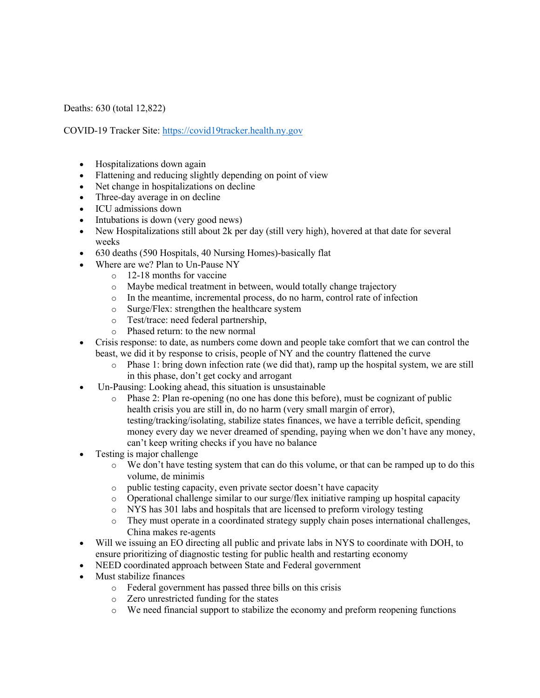Deaths: 630 (total 12,822)

COVID-19 Tracker Site: https://covid19tracker.health.ny.gov

- Hospitalizations down again
- Flattening and reducing slightly depending on point of view
- Net change in hospitalizations on decline
- Three-day average in on decline
- ICU admissions down
- Intubations is down (very good news)
- New Hospitalizations still about 2k per day (still very high), hovered at that date for several weeks
- 630 deaths (590 Hospitals, 40 Nursing Homes)-basically flat
- Where are we? Plan to Un-Pause NY
	- o 12-18 months for vaccine
	- o Maybe medical treatment in between, would totally change trajectory
	- o In the meantime, incremental process, do no harm, control rate of infection
	- o Surge/Flex: strengthen the healthcare system
	- o Test/trace: need federal partnership,
	- o Phased return: to the new normal
- Crisis response: to date, as numbers come down and people take comfort that we can control the beast, we did it by response to crisis, people of NY and the country flattened the curve
	- $\circ$  Phase 1: bring down infection rate (we did that), ramp up the hospital system, we are still in this phase, don't get cocky and arrogant
- Un-Pausing: Looking ahead, this situation is unsustainable
	- o Phase 2: Plan re-opening (no one has done this before), must be cognizant of public health crisis you are still in, do no harm (very small margin of error), testing/tracking/isolating, stabilize states finances, we have a terrible deficit, spending money every day we never dreamed of spending, paying when we don't have any money, can't keep writing checks if you have no balance
- Testing is major challenge
	- o We don't have testing system that can do this volume, or that can be ramped up to do this volume, de minimis
	- o public testing capacity, even private sector doesn't have capacity
	- o Operational challenge similar to our surge/flex initiative ramping up hospital capacity
	- o NYS has 301 labs and hospitals that are licensed to preform virology testing
	- o They must operate in a coordinated strategy supply chain poses international challenges, China makes re-agents
- Will we issuing an EO directing all public and private labs in NYS to coordinate with DOH, to ensure prioritizing of diagnostic testing for public health and restarting economy
- NEED coordinated approach between State and Federal government
- Must stabilize finances
	- o Federal government has passed three bills on this crisis
	- o Zero unrestricted funding for the states
	- o We need financial support to stabilize the economy and preform reopening functions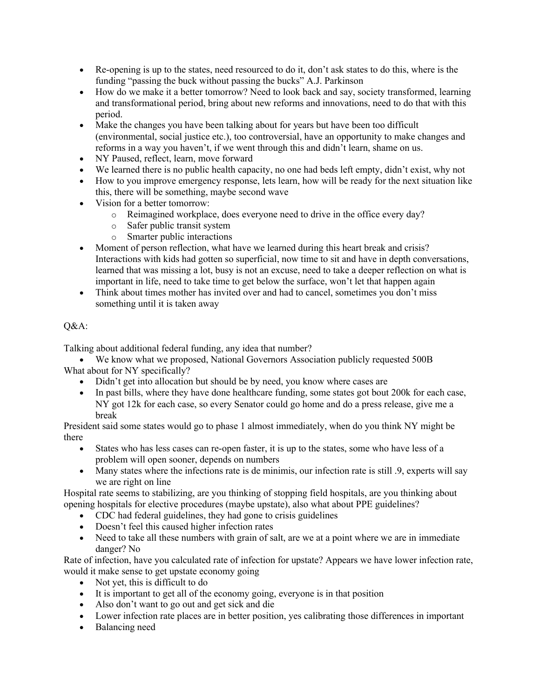- Re-opening is up to the states, need resourced to do it, don't ask states to do this, where is the funding "passing the buck without passing the bucks" A.J. Parkinson
- How do we make it a better tomorrow? Need to look back and say, society transformed, learning and transformational period, bring about new reforms and innovations, need to do that with this period.
- Make the changes you have been talking about for years but have been too difficult (environmental, social justice etc.), too controversial, have an opportunity to make changes and reforms in a way you haven't, if we went through this and didn't learn, shame on us.
- NY Paused, reflect, learn, move forward
- We learned there is no public health capacity, no one had beds left empty, didn't exist, why not
- How to you improve emergency response, lets learn, how will be ready for the next situation like this, there will be something, maybe second wave
- Vision for a better tomorrow:
	- o Reimagined workplace, does everyone need to drive in the office every day?
	- o Safer public transit system
	- o Smarter public interactions
- Moment of person reflection, what have we learned during this heart break and crisis? Interactions with kids had gotten so superficial, now time to sit and have in depth conversations, learned that was missing a lot, busy is not an excuse, need to take a deeper reflection on what is important in life, need to take time to get below the surface, won't let that happen again
- Think about times mother has invited over and had to cancel, sometimes you don't miss something until it is taken away

## O&A:

Talking about additional federal funding, any idea that number?

• We know what we proposed, National Governors Association publicly requested 500B What about for NY specifically?

- Didn't get into allocation but should be by need, you know where cases are
- In past bills, where they have done healthcare funding, some states got bout 200k for each case, NY got 12k for each case, so every Senator could go home and do a press release, give me a break

President said some states would go to phase 1 almost immediately, when do you think NY might be there

- States who has less cases can re-open faster, it is up to the states, some who have less of a problem will open sooner, depends on numbers
- Many states where the infections rate is de minimis, our infection rate is still .9, experts will say we are right on line

Hospital rate seems to stabilizing, are you thinking of stopping field hospitals, are you thinking about opening hospitals for elective procedures (maybe upstate), also what about PPE guidelines?

- CDC had federal guidelines, they had gone to crisis guidelines
- Doesn't feel this caused higher infection rates
- Need to take all these numbers with grain of salt, are we at a point where we are in immediate danger? No

Rate of infection, have you calculated rate of infection for upstate? Appears we have lower infection rate, would it make sense to get upstate economy going

- Not yet, this is difficult to do
- It is important to get all of the economy going, everyone is in that position
- Also don't want to go out and get sick and die
- Lower infection rate places are in better position, yes calibrating those differences in important
- Balancing need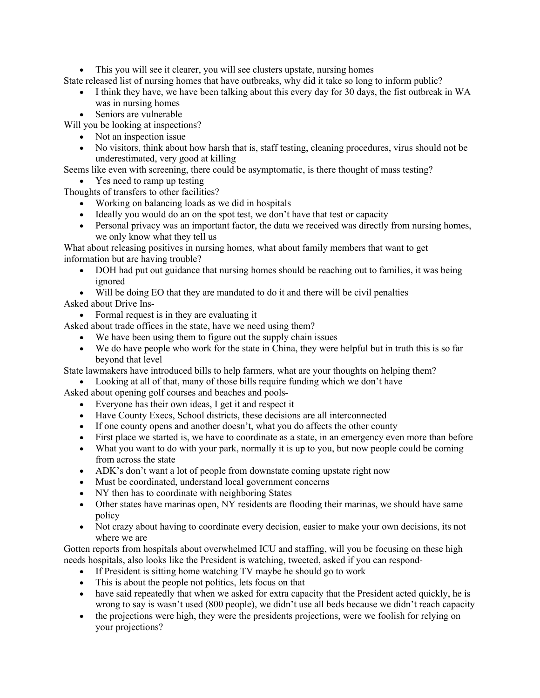• This you will see it clearer, you will see clusters upstate, nursing homes

State released list of nursing homes that have outbreaks, why did it take so long to inform public?

- I think they have, we have been talking about this every day for 30 days, the fist outbreak in WA was in nursing homes
- Seniors are vulnerable

Will you be looking at inspections?

- Not an inspection issue
- No visitors, think about how harsh that is, staff testing, cleaning procedures, virus should not be underestimated, very good at killing

Seems like even with screening, there could be asymptomatic, is there thought of mass testing?

• Yes need to ramp up testing

Thoughts of transfers to other facilities?

- Working on balancing loads as we did in hospitals
- Ideally you would do an on the spot test, we don't have that test or capacity
- Personal privacy was an important factor, the data we received was directly from nursing homes, we only know what they tell us

What about releasing positives in nursing homes, what about family members that want to get information but are having trouble?

- DOH had put out guidance that nursing homes should be reaching out to families, it was being ignored
- Will be doing EO that they are mandated to do it and there will be civil penalties

## Asked about Drive Ins-

• Formal request is in they are evaluating it

Asked about trade offices in the state, have we need using them?

- We have been using them to figure out the supply chain issues
- We do have people who work for the state in China, they were helpful but in truth this is so far beyond that level

State lawmakers have introduced bills to help farmers, what are your thoughts on helping them?

• Looking at all of that, many of those bills require funding which we don't have

Asked about opening golf courses and beaches and pools-

- Everyone has their own ideas, I get it and respect it
- Have County Execs, School districts, these decisions are all interconnected
- If one county opens and another doesn't, what you do affects the other county
- First place we started is, we have to coordinate as a state, in an emergency even more than before
- What you want to do with your park, normally it is up to you, but now people could be coming from across the state
- ADK's don't want a lot of people from downstate coming upstate right now
- Must be coordinated, understand local government concerns
- NY then has to coordinate with neighboring States
- Other states have marinas open, NY residents are flooding their marinas, we should have same policy
- Not crazy about having to coordinate every decision, easier to make your own decisions, its not where we are

Gotten reports from hospitals about overwhelmed ICU and staffing, will you be focusing on these high needs hospitals, also looks like the President is watching, tweeted, asked if you can respond-

- If President is sitting home watching TV maybe he should go to work
- This is about the people not politics, lets focus on that
- have said repeatedly that when we asked for extra capacity that the President acted quickly, he is wrong to say is wasn't used (800 people), we didn't use all beds because we didn't reach capacity
- the projections were high, they were the presidents projections, were we foolish for relying on your projections?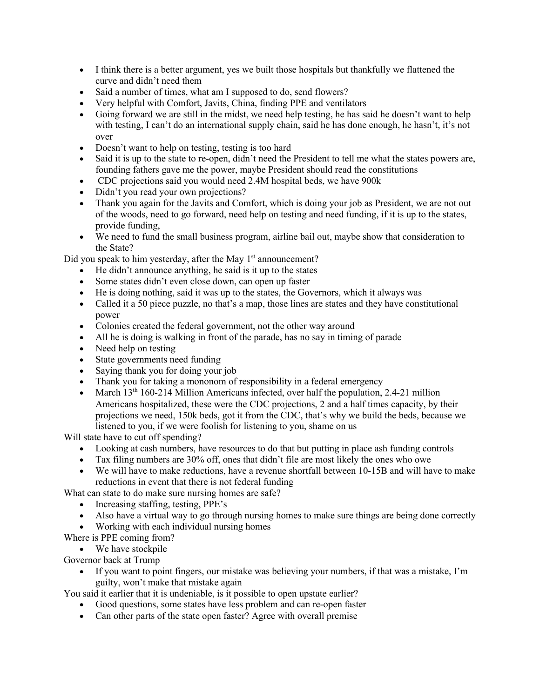- I think there is a better argument, yes we built those hospitals but thankfully we flattened the curve and didn't need them
- Said a number of times, what am I supposed to do, send flowers?
- Very helpful with Comfort, Javits, China, finding PPE and ventilators
- Going forward we are still in the midst, we need help testing, he has said he doesn't want to help with testing, I can't do an international supply chain, said he has done enough, he hasn't, it's not over
- Doesn't want to help on testing, testing is too hard
- Said it is up to the state to re-open, didn't need the President to tell me what the states powers are, founding fathers gave me the power, maybe President should read the constitutions
- CDC projections said you would need 2.4M hospital beds, we have 900k
- Didn't you read your own projections?
- Thank you again for the Javits and Comfort, which is doing your job as President, we are not out of the woods, need to go forward, need help on testing and need funding, if it is up to the states, provide funding,
- We need to fund the small business program, airline bail out, maybe show that consideration to the State?

Did you speak to him yesterday, after the May  $1<sup>st</sup>$  announcement?

- He didn't announce anything, he said is it up to the states
- Some states didn't even close down, can open up faster
- He is doing nothing, said it was up to the states, the Governors, which it always was
- Called it a 50 piece puzzle, no that's a map, those lines are states and they have constitutional power
- Colonies created the federal government, not the other way around
- All he is doing is walking in front of the parade, has no say in timing of parade
- Need help on testing
- State governments need funding
- Saying thank you for doing your job
- Thank you for taking a mononom of responsibility in a federal emergency
- March  $13<sup>th</sup> 160-214$  Million Americans infected, over half the population, 2.4-21 million Americans hospitalized, these were the CDC projections, 2 and a half times capacity, by their projections we need, 150k beds, got it from the CDC, that's why we build the beds, because we listened to you, if we were foolish for listening to you, shame on us

Will state have to cut off spending?

- Looking at cash numbers, have resources to do that but putting in place ash funding controls
- Tax filing numbers are 30% off, ones that didn't file are most likely the ones who owe
- We will have to make reductions, have a revenue shortfall between 10-15B and will have to make reductions in event that there is not federal funding
- What can state to do make sure nursing homes are safe?
	- Increasing staffing, testing, PPE's
	- Also have a virtual way to go through nursing homes to make sure things are being done correctly
	- Working with each individual nursing homes
- Where is PPE coming from?
	- We have stockpile

Governor back at Trump

• If you want to point fingers, our mistake was believing your numbers, if that was a mistake, I'm guilty, won't make that mistake again

You said it earlier that it is undeniable, is it possible to open upstate earlier?

- Good questions, some states have less problem and can re-open faster
- Can other parts of the state open faster? Agree with overall premise